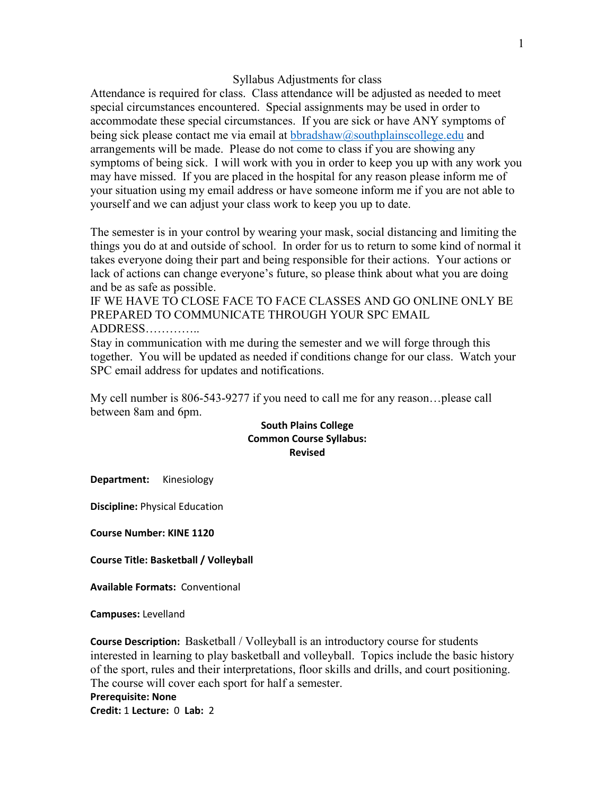## Syllabus Adjustments for class

Attendance is required for class. Class attendance will be adjusted as needed to meet special circumstances encountered. Special assignments may be used in order to accommodate these special circumstances. If you are sick or have ANY symptoms of being sick please contact me via email at  $bbrq$  as  $\log \frac{m}{n}$  black  $\log \frac{n}{n}$  and arrangements will be made. Please do not come to class if you are showing any symptoms of being sick. I will work with you in order to keep you up with any work you may have missed. If you are placed in the hospital for any reason please inform me of your situation using my email address or have someone inform me if you are not able to yourself and we can adjust your class work to keep you up to date.

The semester is in your control by wearing your mask, social distancing and limiting the things you do at and outside of school. In order for us to return to some kind of normal it takes everyone doing their part and being responsible for their actions. Your actions or lack of actions can change everyone's future, so please think about what you are doing and be as safe as possible.

IF WE HAVE TO CLOSE FACE TO FACE CLASSES AND GO ONLINE ONLY BE PREPARED TO COMMUNICATE THROUGH YOUR SPC EMAIL ADDRESS…………..

Stay in communication with me during the semester and we will forge through this together. You will be updated as needed if conditions change for our class. Watch your SPC email address for updates and notifications.

My cell number is 806-543-9277 if you need to call me for any reason…please call between 8am and 6pm.

## **South Plains College Common Course Syllabus: Revised**

**Department:** Kinesiology

**Discipline:** Physical Education

**Course Number: KINE 1120**

**Course Title: Basketball / Volleyball**

**Available Formats:** Conventional

**Campuses:** Levelland

**Course Description:** Basketball / Volleyball is an introductory course for students interested in learning to play basketball and volleyball. Topics include the basic history of the sport, rules and their interpretations, floor skills and drills, and court positioning. The course will cover each sport for half a semester. **Prerequisite: None Credit:** 1 **Lecture:** 0 **Lab:** 2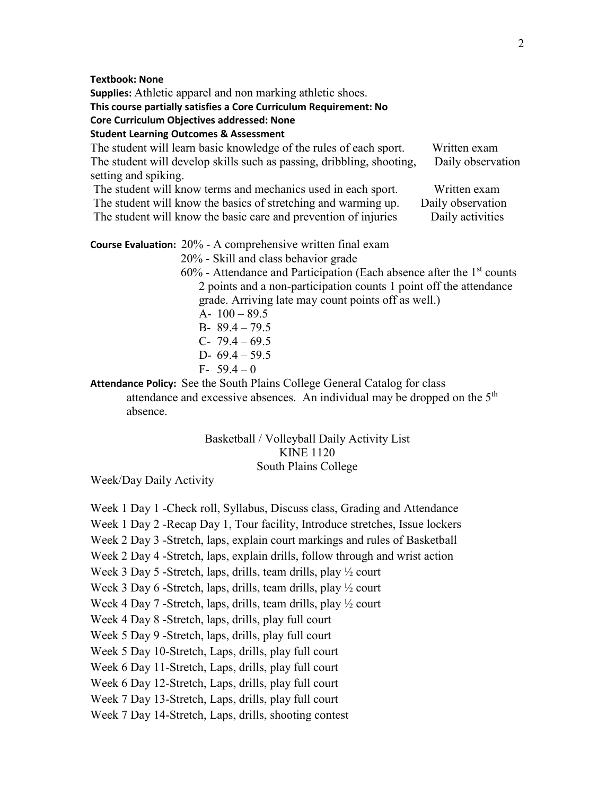**Textbook: None**

**Supplies:** Athletic apparel and non marking athletic shoes.

**This course partially satisfies a Core Curriculum Requirement: No**

**Core Curriculum Objectives addressed: None**

**Student Learning Outcomes & Assessment**

| The student will learn basic knowledge of the rules of each sport.    | Written exam      |
|-----------------------------------------------------------------------|-------------------|
| The student will develop skills such as passing, dribbling, shooting, | Daily observation |
| setting and spiking.                                                  |                   |
| The student will know terms and mechanics used in each sport.         | Written exam      |
| The student will know the basics of stretching and warming up.        | Daily observation |
| The student will know the basic care and prevention of injuries       | Daily activities  |

**Course Evaluation:** 20% - A comprehensive written final exam

20% - Skill and class behavior grade

 $60\%$  - Attendance and Participation (Each absence after the  $1<sup>st</sup>$  counts 2 points and a non-participation counts 1 point off the attendance grade. Arriving late may count points off as well.) A-  $100 - 89.5$ B- 89.4 – 79.5 C-  $79.4 - 69.5$ D-  $69.4 - 59.5$ 

F-  $59.4 - 0$ 

**Attendance Policy:** See the South Plains College General Catalog for class attendance and excessive absences. An individual may be dropped on the 5<sup>th</sup> absence.

## Basketball / Volleyball Daily Activity List KINE 1120 South Plains College

Week/Day Daily Activity

Week 1 Day 1 -Check roll, Syllabus, Discuss class, Grading and Attendance

Week 1 Day 2 -Recap Day 1, Tour facility, Introduce stretches, Issue lockers

Week 2 Day 3 -Stretch, laps, explain court markings and rules of Basketball

Week 2 Day 4 -Stretch, laps, explain drills, follow through and wrist action

Week 3 Day 5 -Stretch, laps, drills, team drills, play  $\frac{1}{2}$  court

Week 3 Day 6 -Stretch, laps, drills, team drills, play  $\frac{1}{2}$  court

Week 4 Day 7 -Stretch, laps, drills, team drills, play  $\frac{1}{2}$  court

Week 4 Day 8 -Stretch, laps, drills, play full court

Week 5 Day 9 -Stretch, laps, drills, play full court

Week 5 Day 10-Stretch, Laps, drills, play full court

Week 6 Day 11-Stretch, Laps, drills, play full court

Week 6 Day 12-Stretch, Laps, drills, play full court

Week 7 Day 13-Stretch, Laps, drills, play full court

Week 7 Day 14-Stretch, Laps, drills, shooting contest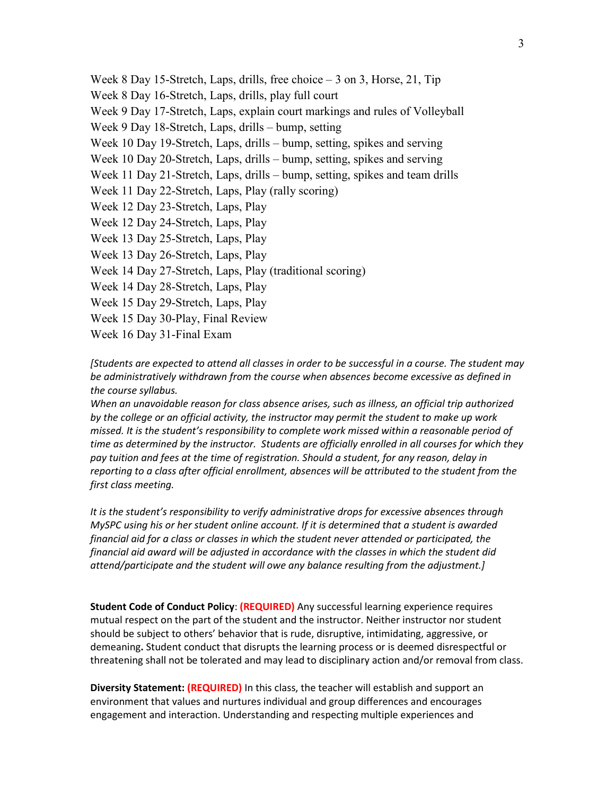Week 8 Day 15-Stretch, Laps, drills, free choice – 3 on 3, Horse, 21, Tip Week 8 Day 16-Stretch, Laps, drills, play full court Week 9 Day 17-Stretch, Laps, explain court markings and rules of Volleyball Week 9 Day 18-Stretch, Laps, drills – bump, setting Week 10 Day 19-Stretch, Laps, drills – bump, setting, spikes and serving Week 10 Day 20-Stretch, Laps, drills – bump, setting, spikes and serving Week 11 Day 21-Stretch, Laps, drills – bump, setting, spikes and team drills Week 11 Day 22-Stretch, Laps, Play (rally scoring) Week 12 Day 23-Stretch, Laps, Play Week 12 Day 24-Stretch, Laps, Play Week 13 Day 25-Stretch, Laps, Play Week 13 Day 26-Stretch, Laps, Play Week 14 Day 27-Stretch, Laps, Play (traditional scoring) Week 14 Day 28-Stretch, Laps, Play Week 15 Day 29-Stretch, Laps, Play Week 15 Day 30-Play, Final Review Week 16 Day 31-Final Exam

*[Students are expected to attend all classes in order to be successful in a course. The student may be administratively withdrawn from the course when absences become excessive as defined in the course syllabus.*

*When an unavoidable reason for class absence arises, such as illness, an official trip authorized by the college or an official activity, the instructor may permit the student to make up work missed. It is the student's responsibility to complete work missed within a reasonable period of time as determined by the instructor. Students are officially enrolled in all courses for which they pay tuition and fees at the time of registration. Should a student, for any reason, delay in reporting to a class after official enrollment, absences will be attributed to the student from the first class meeting.*

*It is the student's responsibility to verify administrative drops for excessive absences through MySPC using his or her student online account. If it is determined that a student is awarded financial aid for a class or classes in which the student never attended or participated, the financial aid award will be adjusted in accordance with the classes in which the student did attend/participate and the student will owe any balance resulting from the adjustment.]*

**Student Code of Conduct Policy**: **(REQUIRED)** Any successful learning experience requires mutual respect on the part of the student and the instructor. Neither instructor nor student should be subject to others' behavior that is rude, disruptive, intimidating, aggressive, or demeaning**.** Student conduct that disrupts the learning process or is deemed disrespectful or threatening shall not be tolerated and may lead to disciplinary action and/or removal from class.

**Diversity Statement: (REQUIRED)** In this class, the teacher will establish and support an environment that values and nurtures individual and group differences and encourages engagement and interaction. Understanding and respecting multiple experiences and